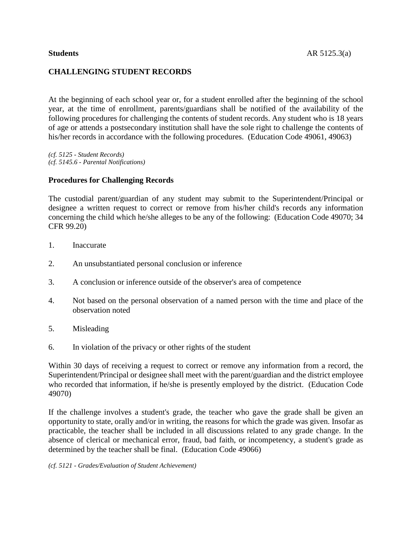# **CHALLENGING STUDENT RECORDS**

At the beginning of each school year or, for a student enrolled after the beginning of the school year, at the time of enrollment, parents/guardians shall be notified of the availability of the following procedures for challenging the contents of student records. Any student who is 18 years of age or attends a postsecondary institution shall have the sole right to challenge the contents of his/her records in accordance with the following procedures. (Education Code 49061, 49063)

*(cf. 5125 - Student Records) (cf. 5145.6 - Parental Notifications)*

## **Procedures for Challenging Records**

The custodial parent/guardian of any student may submit to the Superintendent/Principal or designee a written request to correct or remove from his/her child's records any information concerning the child which he/she alleges to be any of the following: (Education Code 49070; 34 CFR 99.20)

- 1. Inaccurate
- 2. An unsubstantiated personal conclusion or inference
- 3. A conclusion or inference outside of the observer's area of competence
- 4. Not based on the personal observation of a named person with the time and place of the observation noted
- 5. Misleading
- 6. In violation of the privacy or other rights of the student

Within 30 days of receiving a request to correct or remove any information from a record, the Superintendent/Principal or designee shall meet with the parent/guardian and the district employee who recorded that information, if he/she is presently employed by the district. (Education Code 49070)

If the challenge involves a student's grade, the teacher who gave the grade shall be given an opportunity to state, orally and/or in writing, the reasons for which the grade was given. Insofar as practicable, the teacher shall be included in all discussions related to any grade change. In the absence of clerical or mechanical error, fraud, bad faith, or incompetency, a student's grade as determined by the teacher shall be final. (Education Code 49066)

*(cf. 5121 - Grades/Evaluation of Student Achievement)*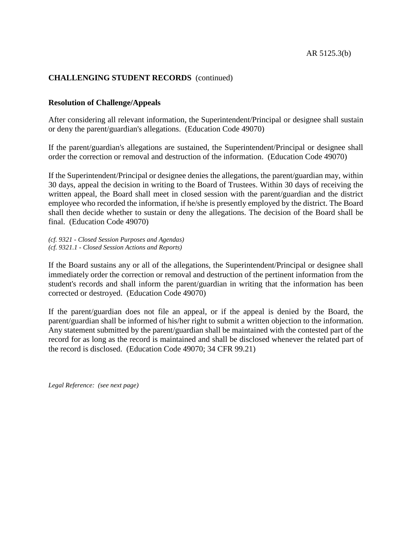## **CHALLENGING STUDENT RECORDS** (continued)

#### **Resolution of Challenge/Appeals**

After considering all relevant information, the Superintendent/Principal or designee shall sustain or deny the parent/guardian's allegations. (Education Code 49070)

If the parent/guardian's allegations are sustained, the Superintendent/Principal or designee shall order the correction or removal and destruction of the information. (Education Code 49070)

If the Superintendent/Principal or designee denies the allegations, the parent/guardian may, within 30 days, appeal the decision in writing to the Board of Trustees. Within 30 days of receiving the written appeal, the Board shall meet in closed session with the parent/guardian and the district employee who recorded the information, if he/she is presently employed by the district. The Board shall then decide whether to sustain or deny the allegations. The decision of the Board shall be final. (Education Code 49070)

*(cf. 9321 - Closed Session Purposes and Agendas) (cf. 9321.1 - Closed Session Actions and Reports)*

If the Board sustains any or all of the allegations, the Superintendent/Principal or designee shall immediately order the correction or removal and destruction of the pertinent information from the student's records and shall inform the parent/guardian in writing that the information has been corrected or destroyed. (Education Code 49070)

If the parent/guardian does not file an appeal, or if the appeal is denied by the Board, the parent/guardian shall be informed of his/her right to submit a written objection to the information. Any statement submitted by the parent/guardian shall be maintained with the contested part of the record for as long as the record is maintained and shall be disclosed whenever the related part of the record is disclosed. (Education Code 49070; 34 CFR 99.21)

*Legal Reference: (see next page)*